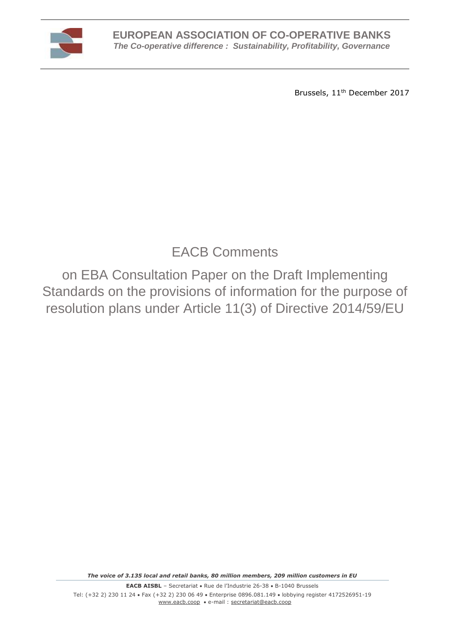

Brussels, 11<sup>th</sup> December 2017

## EACB Comments

on EBA Consultation Paper on the Draft Implementing Standards on the provisions of information for the purpose of resolution plans under Article 11(3) of Directive 2014/59/EU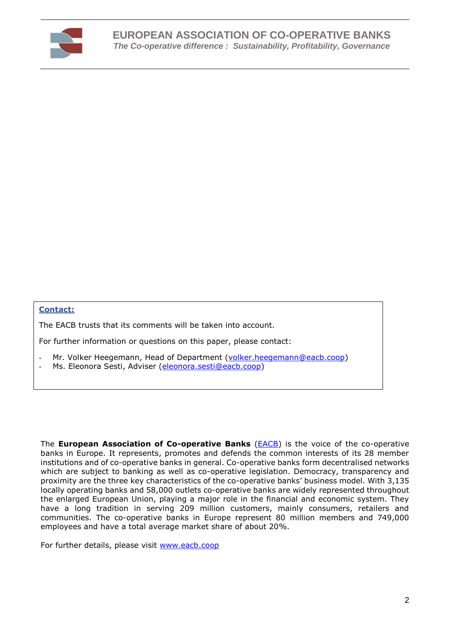

## **Contact:**

The EACB trusts that its comments will be taken into account.

For further information or questions on this paper, please contact:

- Mr. Volker Heegemann, Head of Department [\(volker.heegemann@eacb.coop\)](mailto:volker.heegemann@eacb.coop)
- Ms. Eleonora Sesti, Adviser [\(eleonora.sesti@eacb.coop\)](mailto:eleonora.sesti@eacb.coop)

The **European Association of Co-operative Banks** [\(EACB\)](http://www.eacb.coop/en/home.html) is the voice of the co-operative banks in Europe. It represents, promotes and defends the common interests of its 28 member institutions and of co-operative banks in general. Co-operative banks form decentralised networks which are subject to banking as well as co-operative legislation. Democracy, transparency and proximity are the three key characteristics of the co-operative banks' business model. With 3,135 locally operating banks and 58,000 outlets co-operative banks are widely represented throughout the enlarged European Union, playing a major role in the financial and economic system. They have a long tradition in serving 209 million customers, mainly consumers, retailers and communities. The co-operative banks in Europe represent 80 million members and 749,000 employees and have a total average market share of about 20%.

For further details, please visit [www.eacb.coop](http://www.eacb.coop/)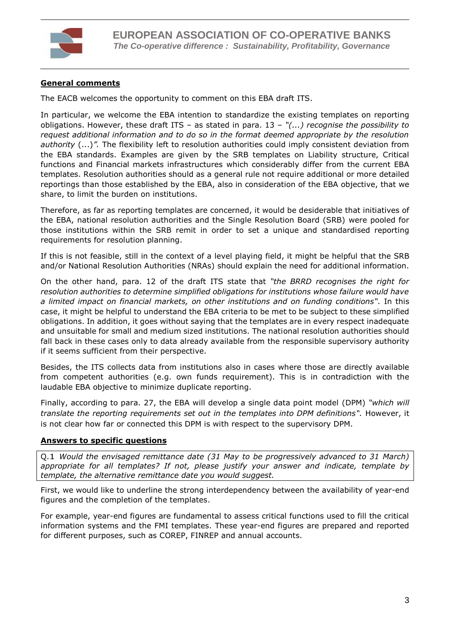

## **General comments**

The EACB welcomes the opportunity to comment on this EBA draft ITS.

In particular, we welcome the EBA intention to standardize the existing templates on reporting obligations. However, these draft ITS – as stated in para. 13 – *"(...) recognise the possibility to request additional information and to do so in the format deemed appropriate by the resolution authority* (...)*".* The flexibility left to resolution authorities could imply consistent deviation from the EBA standards. Examples are given by the SRB templates on Liability structure, Critical functions and Financial markets infrastructures which considerably differ from the current EBA templates. Resolution authorities should as a general rule not require additional or more detailed reportings than those established by the EBA, also in consideration of the EBA objective, that we share, to limit the burden on institutions.

Therefore, as far as reporting templates are concerned, it would be desiderable that initiatives of the EBA, national resolution authorities and the Single Resolution Board (SRB) were pooled for those institutions within the SRB remit in order to set a unique and standardised reporting requirements for resolution planning.

If this is not feasible, still in the context of a level playing field, it might be helpful that the SRB and/or National Resolution Authorities (NRAs) should explain the need for additional information.

On the other hand, para. 12 of the draft ITS state that *"the BRRD recognises the right for resolution authorities to determine simplified obligations for institutions whose failure would have a limited impact on financial markets, on other institutions and on funding conditions".* In this case, it might be helpful to understand the EBA criteria to be met to be subject to these simplified obligations. In addition, it goes without saying that the templates are in every respect inadequate and unsuitable for small and medium sized institutions. The national resolution authorities should fall back in these cases only to data already available from the responsible supervisory authority if it seems sufficient from their perspective.

Besides, the ITS collects data from institutions also in cases where those are directly available from competent authorities (e.g. own funds requirement). This is in contradiction with the laudable EBA objective to minimize duplicate reporting.

Finally, according to para. 27, the EBA will develop a single data point model (DPM) *"which will translate the reporting requirements set out in the templates into DPM definitions".* However, it is not clear how far or connected this DPM is with respect to the supervisory DPM.

## **Answers to specific questions**

Q.1 *Would the envisaged remittance date (31 May to be progressively advanced to 31 March) appropriate for all templates? If not, please justify your answer and indicate, template by template, the alternative remittance date you would suggest.*

First, we would like to underline the strong interdependency between the availability of year-end figures and the completion of the templates.

For example, year-end figures are fundamental to assess critical functions used to fill the critical information systems and the FMI templates. These year-end figures are prepared and reported for different purposes, such as COREP, FINREP and annual accounts.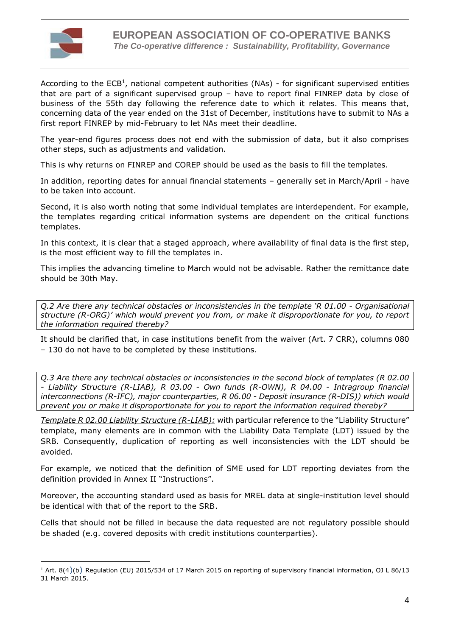

 $\overline{a}$ 

According to the  $ECB<sup>1</sup>$ , national competent authorities (NAs) - for significant supervised entities that are part of a significant supervised group – have to report final FINREP data by close of business of the 55th day following the reference date to which it relates. This means that, concerning data of the year ended on the 31st of December, institutions have to submit to NAs a first report FINREP by mid-February to let NAs meet their deadline.

The year-end figures process does not end with the submission of data, but it also comprises other steps, such as adjustments and validation.

This is why returns on FINREP and COREP should be used as the basis to fill the templates.

In addition, reporting dates for annual financial statements – generally set in March/April - have to be taken into account.

Second, it is also worth noting that some individual templates are interdependent. For example, the templates regarding critical information systems are dependent on the critical functions templates.

In this context, it is clear that a staged approach, where availability of final data is the first step, is the most efficient way to fill the templates in.

This implies the advancing timeline to March would not be advisable. Rather the remittance date should be 30th May.

*Q.2 Are there any technical obstacles or inconsistencies in the template 'R 01.00 - Organisational structure (R-ORG)' which would prevent you from, or make it disproportionate for you, to report the information required thereby?* 

It should be clarified that, in case institutions benefit from the waiver (Art. 7 CRR), columns 080 – 130 do not have to be completed by these institutions.

*Q.3 Are there any technical obstacles or inconsistencies in the second block of templates (R 02.00 - Liability Structure (R-LIAB), R 03.00 - Own funds (R-OWN), R 04.00 - Intragroup financial interconnections (R-IFC), major counterparties, R 06.00 - Deposit insurance (R-DIS)) which would prevent you or make it disproportionate for you to report the information required thereby?* 

*Template R 02.00 Liability Structure (R-LIAB):* with particular reference to the "Liability Structure" template, many elements are in common with the Liability Data Template (LDT) issued by the SRB. Consequently, duplication of reporting as well inconsistencies with the LDT should be avoided.

For example, we noticed that the definition of SME used for LDT reporting deviates from the definition provided in Annex II "Instructions".

Moreover, the accounting standard used as basis for MREL data at single-institution level should be identical with that of the report to the SRB.

Cells that should not be filled in because the data requested are not regulatory possible should be shaded (e.g. covered deposits with credit institutions counterparties).

<sup>1</sup> Art. 8(4)(b) Regulation (EU) 2015/534 of 17 March 2015 on reporting of supervisory financial information, OJ L 86/13 31 March 2015.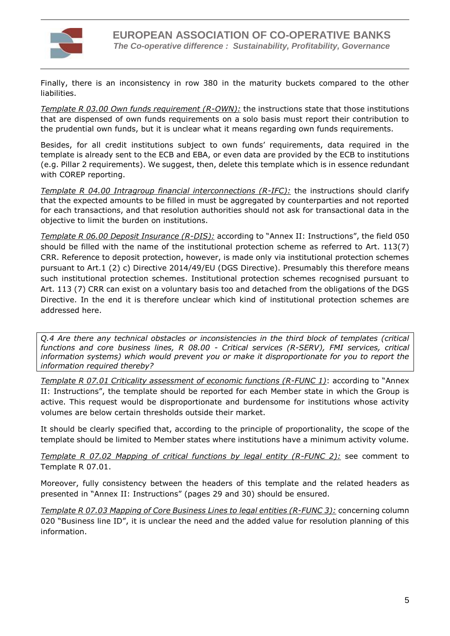

Finally, there is an inconsistency in row 380 in the maturity buckets compared to the other liabilities.

*Template R 03.00 Own funds requirement (R-OWN):* the instructions state that those institutions that are dispensed of own funds requirements on a solo basis must report their contribution to the prudential own funds, but it is unclear what it means regarding own funds requirements.

Besides, for all credit institutions subject to own funds' requirements, data required in the template is already sent to the ECB and EBA, or even data are provided by the ECB to institutions (e.g. Pillar 2 requirements). We suggest, then, delete this template which is in essence redundant with COREP reporting.

*Template R 04.00 Intragroup financial interconnections (R-IFC):* the instructions should clarify that the expected amounts to be filled in must be aggregated by counterparties and not reported for each transactions, and that resolution authorities should not ask for transactional data in the objective to limit the burden on institutions.

*Template R 06.00 Deposit Insurance (R-DIS):* according to "Annex II: Instructions", the field 050 should be filled with the name of the institutional protection scheme as referred to Art. 113(7) CRR. Reference to deposit protection, however, is made only via institutional protection schemes pursuant to Art.1 (2) c) Directive 2014/49/EU (DGS Directive). Presumably this therefore means such institutional protection schemes. Institutional protection schemes recognised pursuant to Art. 113 (7) CRR can exist on a voluntary basis too and detached from the obligations of the DGS Directive. In the end it is therefore unclear which kind of institutional protection schemes are addressed here.

*Q.4 Are there any technical obstacles or inconsistencies in the third block of templates (critical functions and core business lines, R 08.00 - Critical services (R-SERV), FMI services, critical information systems) which would prevent you or make it disproportionate for you to report the information required thereby?* 

*Template R 07.01 Criticality assessment of economic functions (R-FUNC 1)*: according to "Annex II: Instructions", the template should be reported for each Member state in which the Group is active. This request would be disproportionate and burdensome for institutions whose activity volumes are below certain thresholds outside their market.

It should be clearly specified that, according to the principle of proportionality, the scope of the template should be limited to Member states where institutions have a minimum activity volume.

*Template R 07.02 Mapping of critical functions by legal entity (R-FUNC 2):* see comment to Template R 07.01.

Moreover, fully consistency between the headers of this template and the related headers as presented in "Annex II: Instructions" (pages 29 and 30) should be ensured.

*Template R 07.03 Mapping of Core Business Lines to legal entities (R-FUNC 3):* concerning column 020 "Business line ID", it is unclear the need and the added value for resolution planning of this information.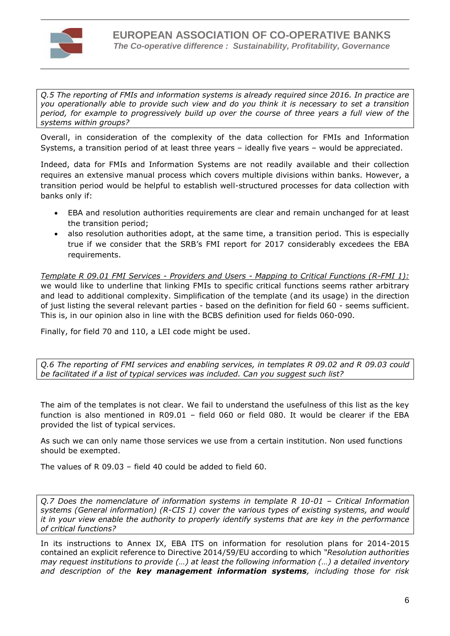

*Q.5 The reporting of FMIs and information systems is already required since 2016. In practice are you operationally able to provide such view and do you think it is necessary to set a transition period, for example to progressively build up over the course of three years a full view of the systems within groups?* 

Overall, in consideration of the complexity of the data collection for FMIs and Information Systems, a transition period of at least three years – ideally five years – would be appreciated.

Indeed, data for FMIs and Information Systems are not readily available and their collection requires an extensive manual process which covers multiple divisions within banks. However, a transition period would be helpful to establish well-structured processes for data collection with banks only if:

- EBA and resolution authorities requirements are clear and remain unchanged for at least the transition period;
- also resolution authorities adopt, at the same time, a transition period. This is especially true if we consider that the SRB's FMI report for 2017 considerably excedees the EBA requirements.

*Template R 09.01 FMI Services - Providers and Users - Mapping to Critical Functions (R-FMI 1):* we would like to underline that linking FMIs to specific critical functions seems rather arbitrary and lead to additional complexity. Simplification of the template (and its usage) in the direction of just listing the several relevant parties - based on the definition for field 60 - seems sufficient. This is, in our opinion also in line with the BCBS definition used for fields 060-090.

Finally, for field 70 and 110, a LEI code might be used.

*Q.6 The reporting of FMI services and enabling services, in templates R 09.02 and R 09.03 could be facilitated if a list of typical services was included. Can you suggest such list?*

The aim of the templates is not clear. We fail to understand the usefulness of this list as the key function is also mentioned in R09.01 – field 060 or field 080. It would be clearer if the EBA provided the list of typical services.

As such we can only name those services we use from a certain institution. Non used functions should be exempted.

The values of R 09.03 – field 40 could be added to field 60.

*Q.7 Does the nomenclature of information systems in template R 10-01 – Critical Information systems (General information) (R-CIS 1) cover the various types of existing systems, and would it in your view enable the authority to properly identify systems that are key in the performance of critical functions?*

In its instructions to Annex IX, EBA ITS on information for resolution plans for 2014-2015 contained an explicit reference to Directive 2014/59/EU according to which *"Resolution authorities may request institutions to provide (…) at least the following information (…) a detailed inventory and description of the key management information systems, including those for risk*